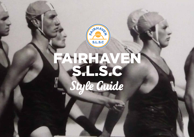

# FAIRHAVEN S.L.S.C Style Guide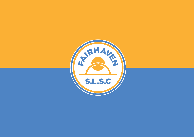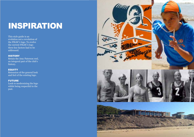## INSPIRATION

This style guide is an evolution not a revolution of the FSLSC's logo. To evolve the current FSLSC's logo three key factors had to be addressed.

#### **HISTORY**

Retain the Amy Paterson reel, an integeral part of the club's history.

#### **EQUITY**

Retension of the general look and feel of the existing logo.

#### FUTURE

Look to modernising the logo whilst being respectful to the past.

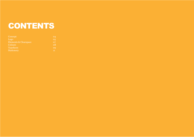### CONTENTS

| Concept                          | 04             |
|----------------------------------|----------------|
| Logo                             | 05             |
| <b>Elements &amp; Clearspace</b> | O <sub>7</sub> |
| Colours                          | 08             |
| <b>Typefaces</b>                 | 0 <sub>q</sub> |
| <b>Stationery</b>                | 11             |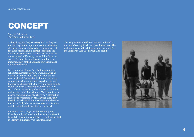### CONCEPT

Story of Fairhaven The "Amy Patterson" Reel

Although 1957 is the year recognised as the year the club began it is important to note an incident at Fairhaven in 1937 shaped a significant part of the clubs history, and is central element to the Fairhaven brand mark. A small iron shed in the dunes housed a lifesaving reel and line for many years. The story behind this reel and line is an important part of the Fairhaven Surf Life Saving Club Brand history.

In the summer of 1937 Amy Patterson a young school teacher from Korowa, was holidaying at Fairhaven with friends. One day when the sea was rough and the weather bad, Amy, who was a competent swimmer, decided to go into the surf. She struggled against the big seas and soon got into trouble and was swept out beyond the breaking surf. Efforts to save Amy where long and arduous and involved a Mr Marwick and Mr Cowan from a nearby boarding house "Fairhaven". A clothesline and strong swimming by Mr Marwick eventually brought an exhausted and distressed Amy back to the beach. Sadly the ordeal was too much for Amy and despite all efforts she died on the beach.

Following Amy's tragic death her Family and Friends purchased a reel and line from the West St Kilda Life Saving Club and placed it in the iron shed at Fairhaven in memory of their loved one.

The Amy Patterson reel was restored and used on the beach by early Fairhaven patrol members. The reel remains with the club as a valued symbol. For the Fairhaven Surf Life Saving Club brand.

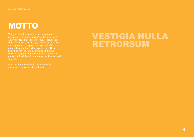### **MOTTO**

Vestigia Nulla Retrorsum is the clubs motto. It is broadly translated to mean "No Turning Back." This was written into the welcome section of the club constitution back in 1957. The motto conveys a strong sense of purpose, courage, and effort required with in the surf lifesaving club. These since its inception, and they reflect the wonderful growth of the club and community involvement and support.

Note the motto is included in more official documentation such as letter heads

#### VESTIGIA NULLA RETRORSUM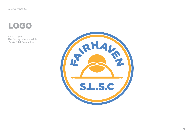### LOGO

FSLSC Logo.ai Use this logo where possible. This is FSLSC's main logo.

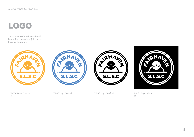### LOGO

These single colour logos should be used for one colour jobs or on busy backgrounds.









FSLSC Logo\_Orange. ai

FSLSC Logo\_Blue.ai FSLSC Logo\_Black.ai FSLSC Logo\_White. ai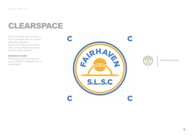### CLEARSPACE

This is to let the logo breathe so it isn't cramped when it's placed with other elements. Keep a clear space of one letter (this instance the letter C) clear from any other element.

#### MINIMUM SIZE

This is as small as the logo can go. The FSLSC's minimum size is 14mm high.





14mm Minimum logo height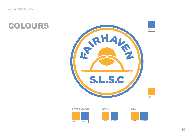



SPOT COLOUR CMYK WEB

PMS 137

PMS 2727



251/176/52 78/132/196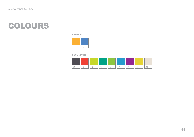#### COLOURS

#### PRIMARY



#### SECONDARY

| PMS<br>137 | PMS<br>2727 | PMS<br>2727 | PMS<br>2727 | PMS<br>2727 | PMS<br>2727 | PMS<br>2727 | PMS<br>2727 | PMS<br>2727 |
|------------|-------------|-------------|-------------|-------------|-------------|-------------|-------------|-------------|